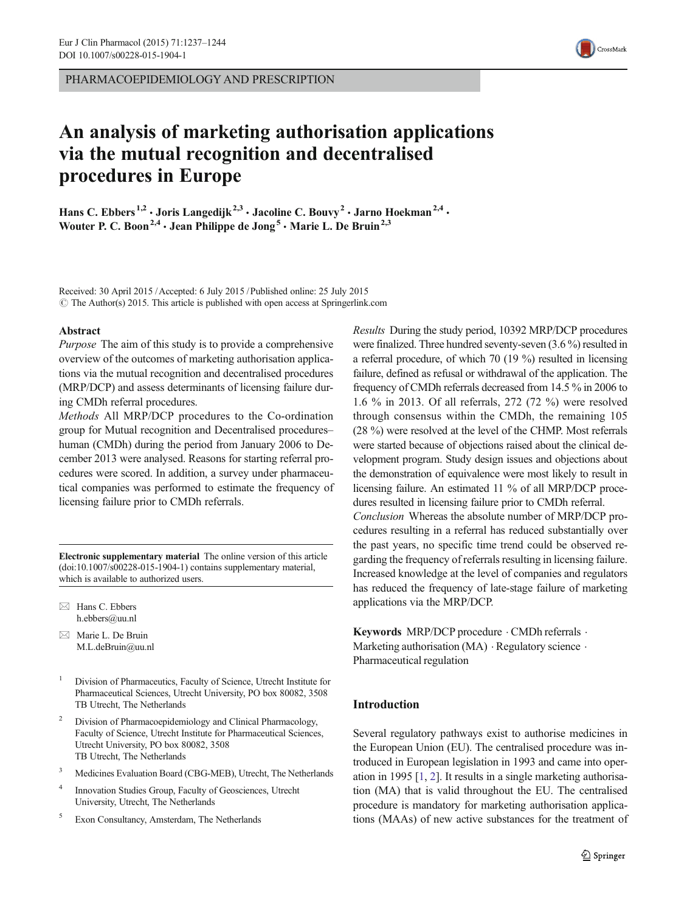PHARMACOEPIDEMIOLOGY AND PRESCRIPTION

# An analysis of marketing authorisation applications via the mutual recognition and decentralised procedures in Europe

Hans C. Ebbers<sup>1,2</sup>  $\cdot$  Joris Langedijk<sup>2,3</sup>  $\cdot$  Jacoline C. Bouvy<sup>2</sup>  $\cdot$  Jarno Hoekman<sup>2,4</sup>  $\cdot$ Wouter P. C. Boon<sup>2,4</sup>  $\cdot$  Jean Philippe de Jong<sup>5</sup>  $\cdot$  Marie L. De Bruin<sup>2,3</sup>

Received: 30 April 2015 /Accepted: 6 July 2015 /Published online: 25 July 2015  $\odot$  The Author(s) 2015. This article is published with open access at Springerlink.com

### Abstract

Purpose The aim of this study is to provide a comprehensive overview of the outcomes of marketing authorisation applications via the mutual recognition and decentralised procedures (MRP/DCP) and assess determinants of licensing failure during CMDh referral procedures.

Methods All MRP/DCP procedures to the Co-ordination group for Mutual recognition and Decentralised procedures– human (CMDh) during the period from January 2006 to December 2013 were analysed. Reasons for starting referral procedures were scored. In addition, a survey under pharmaceutical companies was performed to estimate the frequency of licensing failure prior to CMDh referrals.

Electronic supplementary material The online version of this article (doi[:10.1007/s00228-015-1904-1](http://dx.doi.org/10.1007/s00228-015-1904-1)) contains supplementary material, which is available to authorized users.

- $\boxtimes$  Hans C. Ebbers h.ebbers@uu.nl
- $\boxtimes$  Marie L. De Bruin M.L.deBruin@uu.nl
- <sup>1</sup> Division of Pharmaceutics, Faculty of Science, Utrecht Institute for Pharmaceutical Sciences, Utrecht University, PO box 80082, 3508 TB Utrecht, The Netherlands
- <sup>2</sup> Division of Pharmacoepidemiology and Clinical Pharmacology, Faculty of Science, Utrecht Institute for Pharmaceutical Sciences, Utrecht University, PO box 80082, 3508 TB Utrecht, The Netherlands
- <sup>3</sup> Medicines Evaluation Board (CBG-MEB), Utrecht, The Netherlands
- <sup>4</sup> Innovation Studies Group, Faculty of Geosciences, Utrecht University, Utrecht, The Netherlands
- Exon Consultancy, Amsterdam, The Netherlands

Results During the study period, 10392 MRP/DCP procedures were finalized. Three hundred seventy-seven (3.6 %) resulted in a referral procedure, of which 70 (19 %) resulted in licensing failure, defined as refusal or withdrawal of the application. The frequency of CMDh referrals decreased from 14.5 % in 2006 to 1.6 % in 2013. Of all referrals, 272 (72 %) were resolved through consensus within the CMDh, the remaining 105 (28 %) were resolved at the level of the CHMP. Most referrals were started because of objections raised about the clinical development program. Study design issues and objections about the demonstration of equivalence were most likely to result in licensing failure. An estimated 11 % of all MRP/DCP procedures resulted in licensing failure prior to CMDh referral. Conclusion Whereas the absolute number of MRP/DCP procedures resulting in a referral has reduced substantially over the past years, no specific time trend could be observed regarding the frequency of referrals resulting in licensing failure. Increased knowledge at the level of companies and regulators has reduced the frequency of late-stage failure of marketing applications via the MRP/DCP.

Keywords MRP/DCP procedure . CMDh referrals . Marketing authorisation (MA)  $\cdot$  Regulatory science  $\cdot$ Pharmaceutical regulation

## Introduction

Several regulatory pathways exist to authorise medicines in the European Union (EU). The centralised procedure was introduced in European legislation in 1993 and came into operation in 1995 [\[1](#page-7-0), [2\]](#page-7-0). It results in a single marketing authorisation (MA) that is valid throughout the EU. The centralised procedure is mandatory for marketing authorisation applications (MAAs) of new active substances for the treatment of

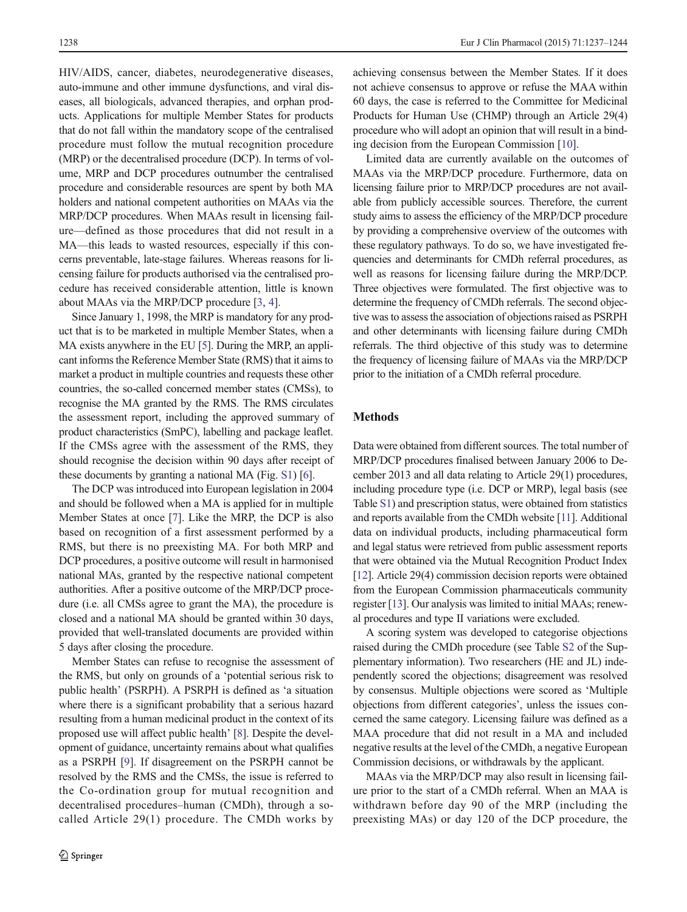HIV/AIDS, cancer, diabetes, neurodegenerative diseases, auto-immune and other immune dysfunctions, and viral diseases, all biologicals, advanced therapies, and orphan products. Applications for multiple Member States for products that do not fall within the mandatory scope of the centralised procedure must follow the mutual recognition procedure (MRP) or the decentralised procedure (DCP). In terms of volume, MRP and DCP procedures outnumber the centralised procedure and considerable resources are spent by both MA holders and national competent authorities on MAAs via the MRP/DCP procedures. When MAAs result in licensing failure—defined as those procedures that did not result in a MA—this leads to wasted resources, especially if this concerns preventable, late-stage failures. Whereas reasons for licensing failure for products authorised via the centralised procedure has received considerable attention, little is known about MAAs via the MRP/DCP procedure [\[3,](#page-7-0) [4\]](#page-7-0).

Since January 1, 1998, the MRP is mandatory for any product that is to be marketed in multiple Member States, when a MA exists anywhere in the EU [\[5\]](#page-7-0). During the MRP, an applicant informs the Reference Member State (RMS) that it aims to market a product in multiple countries and requests these other countries, the so-called concerned member states (CMSs), to recognise the MA granted by the RMS. The RMS circulates the assessment report, including the approved summary of product characteristics (SmPC), labelling and package leaflet. If the CMSs agree with the assessment of the RMS, they should recognise the decision within 90 days after receipt of these documents by granting a national MA (Fig. S1) [\[6\]](#page-7-0).

The DCP was introduced into European legislation in 2004 and should be followed when a MA is applied for in multiple Member States at once [\[7](#page-7-0)]. Like the MRP, the DCP is also based on recognition of a first assessment performed by a RMS, but there is no preexisting MA. For both MRP and DCP procedures, a positive outcome will result in harmonised national MAs, granted by the respective national competent authorities. After a positive outcome of the MRP/DCP procedure (i.e. all CMSs agree to grant the MA), the procedure is closed and a national MA should be granted within 30 days, provided that well-translated documents are provided within 5 days after closing the procedure.

Member States can refuse to recognise the assessment of the RMS, but only on grounds of a 'potential serious risk to public health' (PSRPH). A PSRPH is defined as 'a situation where there is a significant probability that a serious hazard resulting from a human medicinal product in the context of its proposed use will affect public health' [[8](#page-7-0)]. Despite the development of guidance, uncertainty remains about what qualifies as a PSRPH [[9\]](#page-7-0). If disagreement on the PSRPH cannot be resolved by the RMS and the CMSs, the issue is referred to the Co-ordination group for mutual recognition and decentralised procedures–human (CMDh), through a socalled Article 29(1) procedure. The CMDh works by

achieving consensus between the Member States. If it does not achieve consensus to approve or refuse the MAA within 60 days, the case is referred to the Committee for Medicinal Products for Human Use (CHMP) through an Article 29(4) procedure who will adopt an opinion that will result in a binding decision from the European Commission [[10\]](#page-7-0).

Limited data are currently available on the outcomes of MAAs via the MRP/DCP procedure. Furthermore, data on licensing failure prior to MRP/DCP procedures are not available from publicly accessible sources. Therefore, the current study aims to assess the efficiency of the MRP/DCP procedure by providing a comprehensive overview of the outcomes with these regulatory pathways. To do so, we have investigated frequencies and determinants for CMDh referral procedures, as well as reasons for licensing failure during the MRP/DCP. Three objectives were formulated. The first objective was to determine the frequency of CMDh referrals. The second objective was to assess the association of objections raised as PSRPH and other determinants with licensing failure during CMDh referrals. The third objective of this study was to determine the frequency of licensing failure of MAAs via the MRP/DCP prior to the initiation of a CMDh referral procedure.

## Methods

Data were obtained from different sources. The total number of MRP/DCP procedures finalised between January 2006 to December 2013 and all data relating to Article 29(1) procedures, including procedure type (i.e. DCP or MRP), legal basis (see Table S1) and prescription status, were obtained from statistics and reports available from the CMDh website [\[11\]](#page-7-0). Additional data on individual products, including pharmaceutical form and legal status were retrieved from public assessment reports that were obtained via the Mutual Recognition Product Index [\[12\]](#page-7-0). Article 29(4) commission decision reports were obtained from the European Commission pharmaceuticals community register [[13](#page-7-0)]. Our analysis was limited to initial MAAs; renewal procedures and type II variations were excluded.

A scoring system was developed to categorise objections raised during the CMDh procedure (see Table S2 of the Supplementary information). Two researchers (HE and JL) independently scored the objections; disagreement was resolved by consensus. Multiple objections were scored as 'Multiple objections from different categories', unless the issues concerned the same category. Licensing failure was defined as a MAA procedure that did not result in a MA and included negative results at the level of the CMDh, a negative European Commission decisions, or withdrawals by the applicant.

MAAs via the MRP/DCP may also result in licensing failure prior to the start of a CMDh referral. When an MAA is withdrawn before day 90 of the MRP (including the preexisting MAs) or day 120 of the DCP procedure, the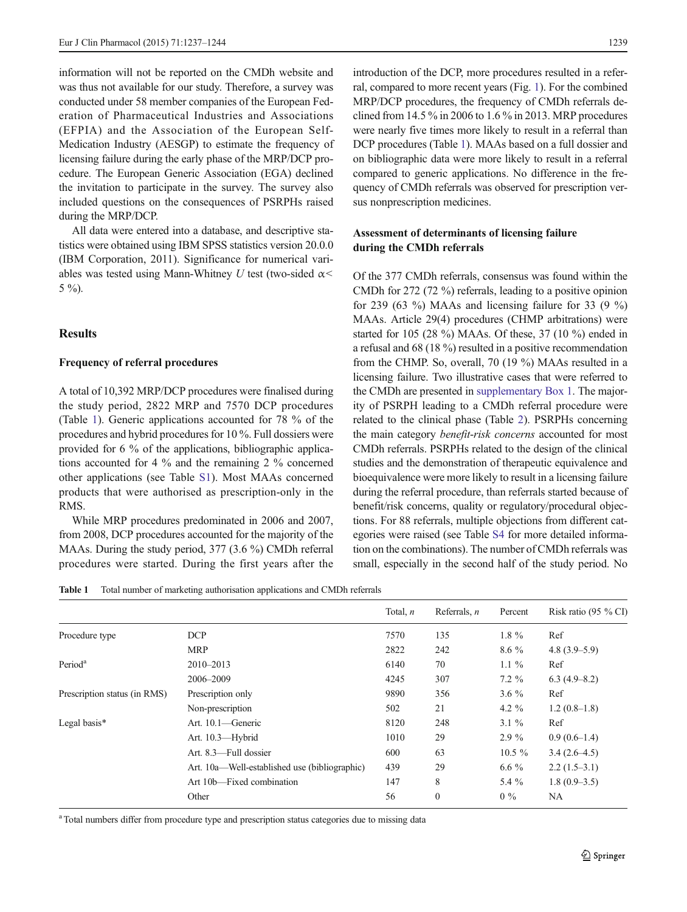information will not be reported on the CMDh website and was thus not available for our study. Therefore, a survey was conducted under 58 member companies of the European Federation of Pharmaceutical Industries and Associations (EFPIA) and the Association of the European Self-Medication Industry (AESGP) to estimate the frequency of licensing failure during the early phase of the MRP/DCP procedure. The European Generic Association (EGA) declined the invitation to participate in the survey. The survey also included questions on the consequences of PSRPHs raised during the MRP/DCP.

All data were entered into a database, and descriptive statistics were obtained using IBM SPSS statistics version 20.0.0 (IBM Corporation, 2011). Significance for numerical variables was tested using Mann-Whitney U test (two-sided  $\alpha$ <  $5\%$ ).

## **Results**

## Frequency of referral procedures

A total of 10,392 MRP/DCP procedures were finalised during the study period, 2822 MRP and 7570 DCP procedures (Table 1). Generic applications accounted for 78 % of the procedures and hybrid procedures for 10 %. Full dossiers were provided for 6 % of the applications, bibliographic applications accounted for 4 % and the remaining 2 % concerned other applications (see Table S1). Most MAAs concerned products that were authorised as prescription-only in the RMS.

While MRP procedures predominated in 2006 and 2007, from 2008, DCP procedures accounted for the majority of the MAAs. During the study period, 377 (3.6 %) CMDh referral procedures were started. During the first years after the

introduction of the DCP, more procedures resulted in a referral, compared to more recent years (Fig. [1\)](#page-3-0). For the combined MRP/DCP procedures, the frequency of CMDh referrals declined from 14.5 % in 2006 to 1.6 % in 2013. MRP procedures were nearly five times more likely to result in a referral than DCP procedures (Table 1). MAAs based on a full dossier and on bibliographic data were more likely to result in a referral compared to generic applications. No difference in the frequency of CMDh referrals was observed for prescription versus nonprescription medicines.

# Assessment of determinants of licensing failure during the CMDh referrals

Of the 377 CMDh referrals, consensus was found within the CMDh for 272 (72 %) referrals, leading to a positive opinion for 239 (63 %) MAAs and licensing failure for 33 (9 %) MAAs. Article 29(4) procedures (CHMP arbitrations) were started for 105 (28 %) MAAs. Of these, 37 (10 %) ended in a refusal and 68 (18 %) resulted in a positive recommendation from the CHMP. So, overall, 70 (19 %) MAAs resulted in a licensing failure. Two illustrative cases that were referred to the CMDh are presented in supplementary Box 1. The majority of PSRPH leading to a CMDh referral procedure were related to the clinical phase (Table [2](#page-3-0)). PSRPHs concerning the main category benefit-risk concerns accounted for most CMDh referrals. PSRPHs related to the design of the clinical studies and the demonstration of therapeutic equivalence and bioequivalence were more likely to result in a licensing failure during the referral procedure, than referrals started because of benefit/risk concerns, quality or regulatory/procedural objections. For 88 referrals, multiple objections from different categories were raised (see Table S4 for more detailed information on the combinations). The number of CMDh referrals was small, especially in the second half of the study period. No

Table 1 Total number of marketing authorisation applications and CMDh referrals

|                              |                                               | Total, $n$ | Referrals, $n$ | Percent  | Risk ratio (95 $%$ CI) |
|------------------------------|-----------------------------------------------|------------|----------------|----------|------------------------|
| Procedure type               | <b>DCP</b>                                    | 7570       | 135            | $1.8\%$  | Ref                    |
|                              | <b>MRP</b>                                    | 2822       | 242            | $8.6\%$  | $4.8(3.9-5.9)$         |
| Period <sup>a</sup>          | 2010-2013                                     | 6140       | 70             | $1.1\%$  | Ref                    |
|                              | 2006-2009                                     | 4245       | 307            | $7.2 \%$ | $6.3(4.9-8.2)$         |
| Prescription status (in RMS) | Prescription only                             | 9890       | 356            | 3.6 $%$  | Ref                    |
|                              | Non-prescription                              | 502        | 21             | 4.2 $\%$ | $1.2(0.8-1.8)$         |
| Legal basis*                 | Art. 10.1-Generic                             | 8120       | 248            | $3.1 \%$ | Ref                    |
|                              | Art. 10.3-Hybrid                              | 1010       | 29             | $2.9\%$  | $0.9(0.6-1.4)$         |
|                              | Art. 8.3-Full dossier                         | 600        | 63             | $10.5\%$ | $3.4(2.6-4.5)$         |
|                              | Art. 10a—Well-established use (bibliographic) | 439        | 29             | $6.6\%$  | $2.2(1.5-3.1)$         |
|                              | Art 10b-Fixed combination                     | 147        | 8              | 5.4 $%$  | $1.8(0.9-3.5)$         |
|                              | Other                                         | 56         | $\mathbf{0}$   | $0\%$    | <b>NA</b>              |

<sup>a</sup> Total numbers differ from procedure type and prescription status categories due to missing data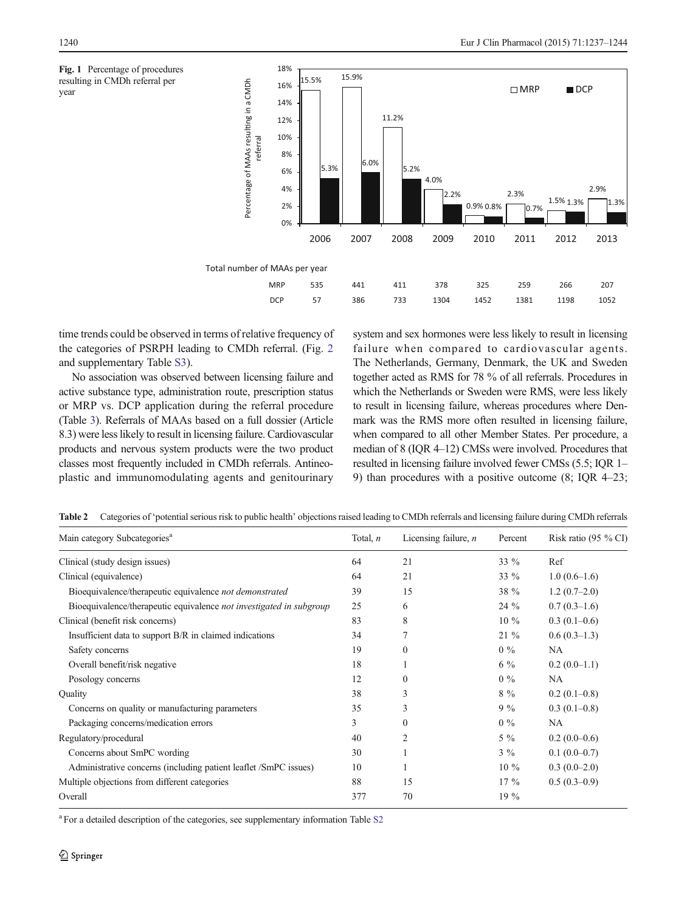<span id="page-3-0"></span>



time trends could be observed in terms of relative frequency of the categories of PSRPH leading to CMDh referral. (Fig. [2](#page-4-0) and supplementary Table S3).

No association was observed between licensing failure and active substance type, administration route, prescription status or MRP vs. DCP application during the referral procedure (Table [3\)](#page-5-0). Referrals of MAAs based on a full dossier (Article 8.3) were less likely to result in licensing failure. Cardiovascular products and nervous system products were the two product classes most frequently included in CMDh referrals. Antineoplastic and immunomodulating agents and genitourinary system and sex hormones were less likely to result in licensing failure when compared to cardiovascular agents. The Netherlands, Germany, Denmark, the UK and Sweden together acted as RMS for 78 % of all referrals. Procedures in which the Netherlands or Sweden were RMS, were less likely to result in licensing failure, whereas procedures where Denmark was the RMS more often resulted in licensing failure, when compared to all other Member States. Per procedure, a median of 8 (IQR 4–12) CMSs were involved. Procedures that resulted in licensing failure involved fewer CMSs (5.5; IQR 1– 9) than procedures with a positive outcome (8; IQR 4–23;

|  |  |  |  |  | Table 2 Categories of 'potential serious risk to public health' objections raised leading to CMDh referrals and licensing failure during CMDh referrals |
|--|--|--|--|--|---------------------------------------------------------------------------------------------------------------------------------------------------------|
|--|--|--|--|--|---------------------------------------------------------------------------------------------------------------------------------------------------------|

| Main category Subcategories <sup>a</sup>                            | Total, $n$ | Licensing failure, $n$ | Percent | Risk ratio (95 % CI) |
|---------------------------------------------------------------------|------------|------------------------|---------|----------------------|
| Clinical (study design issues)                                      | 64         | 21                     | $33\%$  | Ref                  |
| Clinical (equivalence)                                              | 64         | 21                     | $33\%$  | $1.0(0.6-1.6)$       |
| Bioequivalence/therapeutic equivalence not demonstrated             | 39         | 15                     | 38 %    | $1.2(0.7-2.0)$       |
| Bioequivalence/therapeutic equivalence not investigated in subgroup | 25         | 6                      | $24\%$  | $0.7(0.3-1.6)$       |
| Clinical (benefit risk concerns)                                    | 83         | 8                      | $10\%$  | $0.3(0.1-0.6)$       |
| Insufficient data to support B/R in claimed indications             | 34         |                        | $21\%$  | $0.6(0.3-1.3)$       |
| Safety concerns                                                     | 19         | $\mathbf{0}$           | $0\%$   | NA                   |
| Overall benefit/risk negative                                       | 18         |                        | $6\%$   | $0.2(0.0-1.1)$       |
| Posology concerns                                                   | 12         | $\mathbf{0}$           | $0\%$   | NA                   |
| Quality                                                             | 38         | 3                      | $8\%$   | $0.2(0.1-0.8)$       |
| Concerns on quality or manufacturing parameters                     | 35         | 3                      | $9\%$   | $0.3(0.1-0.8)$       |
| Packaging concerns/medication errors                                | 3          | $\Omega$               | $0\%$   | <b>NA</b>            |
| Regulatory/procedural                                               | 40         | 2                      | $5\%$   | $0.2(0.0-0.6)$       |
| Concerns about SmPC wording                                         | 30         |                        | $3\%$   | $0.1(0.0-0.7)$       |
| Administrative concerns (including patient leaflet /SmPC issues)    | 10         |                        | $10\%$  | $0.3(0.0-2.0)$       |
| Multiple objections from different categories                       | 88         | 15                     | $17\%$  | $0.5(0.3-0.9)$       |
| Overall                                                             | 377        | 70                     | $19\%$  |                      |

<sup>a</sup> For a detailed description of the categories, see supplementary information Table S2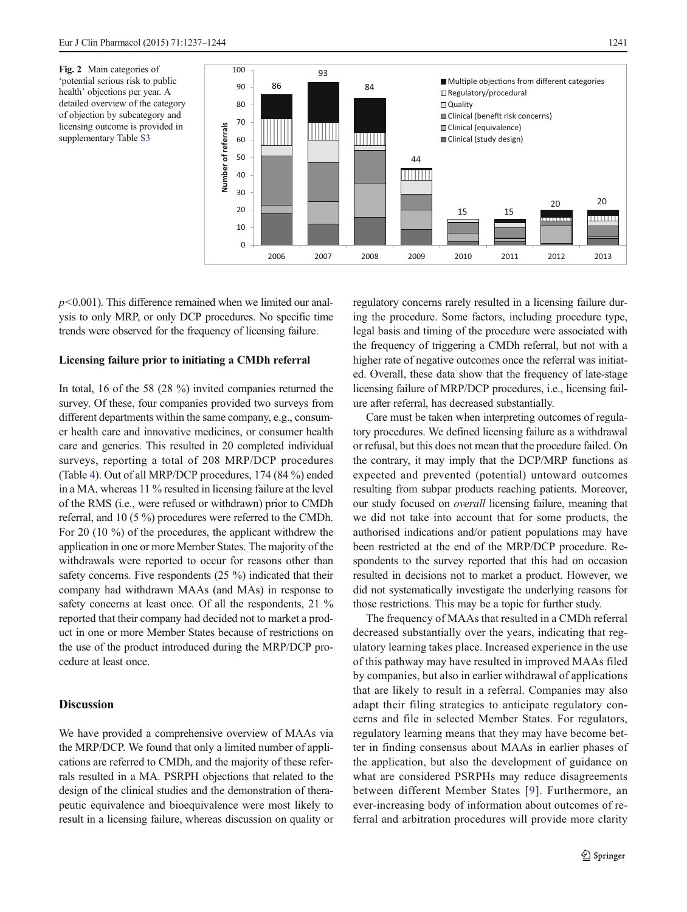<span id="page-4-0"></span>Fig. 2 Main categories of 'potential serious risk to public health' objections per year. A detailed overview of the category of objection by subcategory and licensing outcome is provided in supplementary Table S3



 $p<0.001$ ). This difference remained when we limited our analysis to only MRP, or only DCP procedures. No specific time trends were observed for the frequency of licensing failure.

### Licensing failure prior to initiating a CMDh referral

In total, 16 of the 58 (28 %) invited companies returned the survey. Of these, four companies provided two surveys from different departments within the same company, e.g., consumer health care and innovative medicines, or consumer health care and generics. This resulted in 20 completed individual surveys, reporting a total of 208 MRP/DCP procedures (Table [4\)](#page-6-0). Out of all MRP/DCP procedures, 174 (84 %) ended in a MA, whereas 11 % resulted in licensing failure at the level of the RMS (i.e., were refused or withdrawn) prior to CMDh referral, and 10 (5 %) procedures were referred to the CMDh. For 20 (10 %) of the procedures, the applicant withdrew the application in one or more Member States. The majority of the withdrawals were reported to occur for reasons other than safety concerns. Five respondents (25 %) indicated that their company had withdrawn MAAs (and MAs) in response to safety concerns at least once. Of all the respondents, 21 % reported that their company had decided not to market a product in one or more Member States because of restrictions on the use of the product introduced during the MRP/DCP procedure at least once.

## Discussion

We have provided a comprehensive overview of MAAs via the MRP/DCP. We found that only a limited number of applications are referred to CMDh, and the majority of these referrals resulted in a MA. PSRPH objections that related to the design of the clinical studies and the demonstration of therapeutic equivalence and bioequivalence were most likely to result in a licensing failure, whereas discussion on quality or

regulatory concerns rarely resulted in a licensing failure during the procedure. Some factors, including procedure type, legal basis and timing of the procedure were associated with the frequency of triggering a CMDh referral, but not with a higher rate of negative outcomes once the referral was initiated. Overall, these data show that the frequency of late-stage licensing failure of MRP/DCP procedures, i.e., licensing failure after referral, has decreased substantially.

Care must be taken when interpreting outcomes of regulatory procedures. We defined licensing failure as a withdrawal or refusal, but this does not mean that the procedure failed. On the contrary, it may imply that the DCP/MRP functions as expected and prevented (potential) untoward outcomes resulting from subpar products reaching patients. Moreover, our study focused on overall licensing failure, meaning that we did not take into account that for some products, the authorised indications and/or patient populations may have been restricted at the end of the MRP/DCP procedure. Respondents to the survey reported that this had on occasion resulted in decisions not to market a product. However, we did not systematically investigate the underlying reasons for those restrictions. This may be a topic for further study.

The frequency of MAAs that resulted in a CMDh referral decreased substantially over the years, indicating that regulatory learning takes place. Increased experience in the use of this pathway may have resulted in improved MAAs filed by companies, but also in earlier withdrawal of applications that are likely to result in a referral. Companies may also adapt their filing strategies to anticipate regulatory concerns and file in selected Member States. For regulators, regulatory learning means that they may have become better in finding consensus about MAAs in earlier phases of the application, but also the development of guidance on what are considered PSRPHs may reduce disagreements between different Member States [[9](#page-7-0)]. Furthermore, an ever-increasing body of information about outcomes of referral and arbitration procedures will provide more clarity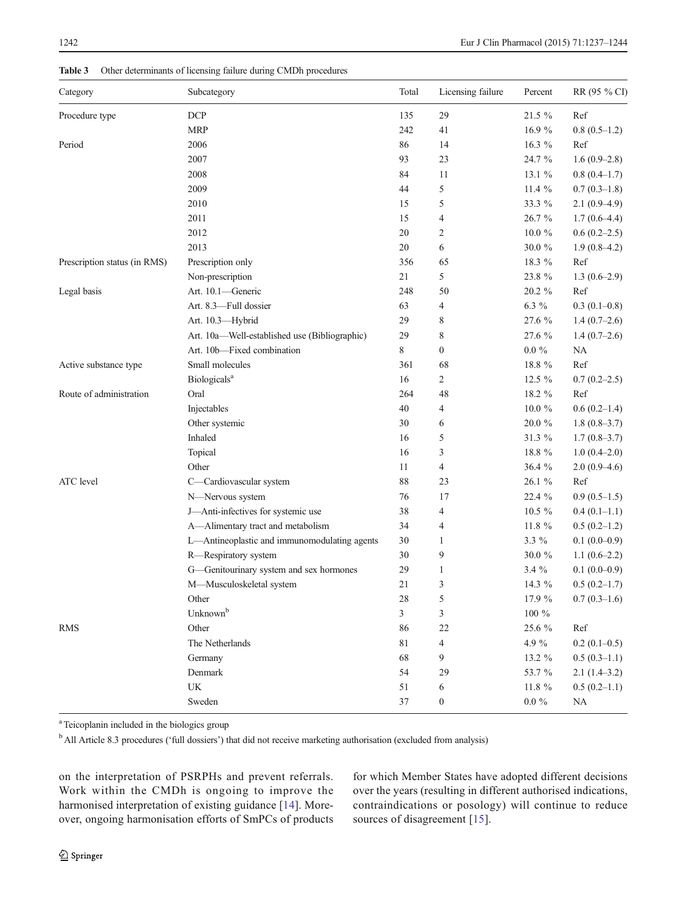| Category                                                      | Subcategory                                   | Total                                                                                                                                                                                                                                                                                                                                                                                                                                                                                                                                                                                                                                                                                                                                                                                           | Licensing failure | Percent    | RR (95 % CI)   |
|---------------------------------------------------------------|-----------------------------------------------|-------------------------------------------------------------------------------------------------------------------------------------------------------------------------------------------------------------------------------------------------------------------------------------------------------------------------------------------------------------------------------------------------------------------------------------------------------------------------------------------------------------------------------------------------------------------------------------------------------------------------------------------------------------------------------------------------------------------------------------------------------------------------------------------------|-------------------|------------|----------------|
| Procedure type                                                | <b>DCP</b>                                    | 135                                                                                                                                                                                                                                                                                                                                                                                                                                                                                                                                                                                                                                                                                                                                                                                             | 29                | 21.5 %     | Ref            |
|                                                               | <b>MRP</b>                                    | 242                                                                                                                                                                                                                                                                                                                                                                                                                                                                                                                                                                                                                                                                                                                                                                                             | 41                | 16.9 %     | $0.8(0.5-1.2)$ |
| Period                                                        | 2006                                          | 86                                                                                                                                                                                                                                                                                                                                                                                                                                                                                                                                                                                                                                                                                                                                                                                              | 14                | 16.3 $%$   | Ref            |
|                                                               | 2007                                          | 93                                                                                                                                                                                                                                                                                                                                                                                                                                                                                                                                                                                                                                                                                                                                                                                              | 23                | 24.7 %     | $1.6(0.9-2.8)$ |
|                                                               | 2008                                          | 84                                                                                                                                                                                                                                                                                                                                                                                                                                                                                                                                                                                                                                                                                                                                                                                              | 11                | 13.1 %     | $0.8(0.4-1.7)$ |
|                                                               | 2009                                          | 44                                                                                                                                                                                                                                                                                                                                                                                                                                                                                                                                                                                                                                                                                                                                                                                              | 5                 | 11.4 $%$   | $0.7(0.3-1.8)$ |
|                                                               | 2010                                          | 15                                                                                                                                                                                                                                                                                                                                                                                                                                                                                                                                                                                                                                                                                                                                                                                              | 5                 | 33.3 %     | $2.1(0.9-4.9)$ |
|                                                               | 2011                                          | 15                                                                                                                                                                                                                                                                                                                                                                                                                                                                                                                                                                                                                                                                                                                                                                                              | 4                 | 26.7 %     | $1.7(0.6-4.4)$ |
|                                                               | 2012                                          | $20\,$                                                                                                                                                                                                                                                                                                                                                                                                                                                                                                                                                                                                                                                                                                                                                                                          | 2                 | $10.0 \%$  | $0.6(0.2-2.5)$ |
|                                                               | 2013                                          | 20                                                                                                                                                                                                                                                                                                                                                                                                                                                                                                                                                                                                                                                                                                                                                                                              | 6                 | 30.0 %     | $1.9(0.8-4.2)$ |
| Prescription status (in RMS)                                  | Prescription only                             | 356<br>65<br>18.3 %<br>Ref<br>21<br>5<br>23.8 %<br>$1.3(0.6-2.9)$<br>248<br>50<br>20.2 %<br>Ref<br>63<br>6.3 %<br>4<br>$0.3(0.1-0.8)$<br>29<br>27.6 %<br>8<br>$1.4(0.7-2.6)$<br>29<br>8<br>$27.6\%$<br>$1.4(0.7-2.6)$<br>8<br>$\boldsymbol{0}$<br>$0.0 \%$<br><b>NA</b><br>361<br>68<br>18.8 %<br>Ref<br>16<br>2<br>12.5 %<br>$0.7(0.2-2.5)$<br>48<br>Ref<br>264<br>18.2 %<br>40<br>4<br>$10.0 \%$<br>$0.6(0.2-1.4)$<br>30<br>20.0 %<br>6<br>$1.8(0.8-3.7)$<br>16<br>5<br>31.3 %<br>$1.7(0.8 - 3.7)$<br>16<br>18.8 %<br>3<br>$1.0(0.4-2.0)$<br>11<br>4<br>36.4 %<br>$2.0(0.9-4.6)$<br>$88\,$<br>Ref<br>23<br>26.1 %<br>76<br>17<br>22.4 %<br>$0.9(0.5-1.5)$<br>38<br>4<br>$10.5 \%$<br>$0.4(0.1-1.1)$<br>34<br>11.8 %<br>$0.5(0.2-1.2)$<br>4<br>30<br>$\mathbf{1}$<br>$3.3\%$<br>$0.1(0.0-0.9)$ |                   |            |                |
|                                                               | Non-prescription                              |                                                                                                                                                                                                                                                                                                                                                                                                                                                                                                                                                                                                                                                                                                                                                                                                 |                   |            |                |
| Legal basis                                                   | Art. 10.1-Generic                             |                                                                                                                                                                                                                                                                                                                                                                                                                                                                                                                                                                                                                                                                                                                                                                                                 |                   |            |                |
|                                                               | Art. 8.3-Full dossier                         |                                                                                                                                                                                                                                                                                                                                                                                                                                                                                                                                                                                                                                                                                                                                                                                                 |                   |            |                |
| Active substance type<br>Route of administration<br>ATC level | Art. 10.3-Hybrid                              |                                                                                                                                                                                                                                                                                                                                                                                                                                                                                                                                                                                                                                                                                                                                                                                                 |                   |            |                |
|                                                               | Art. 10a-Well-established use (Bibliographic) |                                                                                                                                                                                                                                                                                                                                                                                                                                                                                                                                                                                                                                                                                                                                                                                                 |                   |            |                |
|                                                               | Art. 10b-Fixed combination                    |                                                                                                                                                                                                                                                                                                                                                                                                                                                                                                                                                                                                                                                                                                                                                                                                 |                   |            |                |
|                                                               | Small molecules                               |                                                                                                                                                                                                                                                                                                                                                                                                                                                                                                                                                                                                                                                                                                                                                                                                 |                   |            |                |
|                                                               | <b>Biologicals</b> <sup>a</sup>               |                                                                                                                                                                                                                                                                                                                                                                                                                                                                                                                                                                                                                                                                                                                                                                                                 |                   |            |                |
|                                                               | Oral                                          |                                                                                                                                                                                                                                                                                                                                                                                                                                                                                                                                                                                                                                                                                                                                                                                                 |                   |            |                |
| <b>RMS</b>                                                    | Injectables                                   |                                                                                                                                                                                                                                                                                                                                                                                                                                                                                                                                                                                                                                                                                                                                                                                                 |                   |            |                |
|                                                               | Other systemic                                |                                                                                                                                                                                                                                                                                                                                                                                                                                                                                                                                                                                                                                                                                                                                                                                                 |                   |            |                |
|                                                               | Inhaled                                       |                                                                                                                                                                                                                                                                                                                                                                                                                                                                                                                                                                                                                                                                                                                                                                                                 |                   |            |                |
|                                                               | Topical                                       |                                                                                                                                                                                                                                                                                                                                                                                                                                                                                                                                                                                                                                                                                                                                                                                                 |                   |            |                |
|                                                               | Other                                         |                                                                                                                                                                                                                                                                                                                                                                                                                                                                                                                                                                                                                                                                                                                                                                                                 |                   |            |                |
|                                                               | C-Cardiovascular system                       |                                                                                                                                                                                                                                                                                                                                                                                                                                                                                                                                                                                                                                                                                                                                                                                                 |                   |            |                |
|                                                               | N-Nervous system                              |                                                                                                                                                                                                                                                                                                                                                                                                                                                                                                                                                                                                                                                                                                                                                                                                 |                   |            |                |
|                                                               | J-Anti-infectives for systemic use            |                                                                                                                                                                                                                                                                                                                                                                                                                                                                                                                                                                                                                                                                                                                                                                                                 |                   |            |                |
|                                                               | A-Alimentary tract and metabolism             |                                                                                                                                                                                                                                                                                                                                                                                                                                                                                                                                                                                                                                                                                                                                                                                                 |                   |            |                |
|                                                               | L-Antineoplastic and immunomodulating agents  |                                                                                                                                                                                                                                                                                                                                                                                                                                                                                                                                                                                                                                                                                                                                                                                                 |                   |            |                |
|                                                               | R-Respiratory system                          | $30\,$                                                                                                                                                                                                                                                                                                                                                                                                                                                                                                                                                                                                                                                                                                                                                                                          | 9                 | 30.0 %     | $1.1(0.6-2.2)$ |
|                                                               | G-Genitourinary system and sex hormones       | 29                                                                                                                                                                                                                                                                                                                                                                                                                                                                                                                                                                                                                                                                                                                                                                                              | 1                 | $3.4\%$    | $0.1(0.0-0.9)$ |
|                                                               | M-Musculoskeletal system                      | 21                                                                                                                                                                                                                                                                                                                                                                                                                                                                                                                                                                                                                                                                                                                                                                                              | 3                 | 14.3 %     | $0.5(0.2-1.7)$ |
|                                                               | Other                                         | $28\,$                                                                                                                                                                                                                                                                                                                                                                                                                                                                                                                                                                                                                                                                                                                                                                                          | 5                 | $17.9\ \%$ | $0.7(0.3-1.6)$ |
|                                                               | Unknown <sup>b</sup>                          | 3                                                                                                                                                                                                                                                                                                                                                                                                                                                                                                                                                                                                                                                                                                                                                                                               | 3                 | 100 %      |                |
|                                                               | Other                                         | 86                                                                                                                                                                                                                                                                                                                                                                                                                                                                                                                                                                                                                                                                                                                                                                                              | $22\,$            | 25.6 %     | Ref            |
|                                                               | The Netherlands                               | 81                                                                                                                                                                                                                                                                                                                                                                                                                                                                                                                                                                                                                                                                                                                                                                                              | 4                 | 4.9 %      | $0.2(0.1-0.5)$ |
|                                                               | Germany                                       | 68                                                                                                                                                                                                                                                                                                                                                                                                                                                                                                                                                                                                                                                                                                                                                                                              | 9                 | 13.2 %     | $0.5(0.3-1.1)$ |
|                                                               | Denmark                                       | 54                                                                                                                                                                                                                                                                                                                                                                                                                                                                                                                                                                                                                                                                                                                                                                                              | 29                | 53.7 %     | $2.1(1.4-3.2)$ |
|                                                               | $\ensuremath{\text{UK}}\xspace$               | 51                                                                                                                                                                                                                                                                                                                                                                                                                                                                                                                                                                                                                                                                                                                                                                                              | 6                 | 11.8 %     | $0.5(0.2-1.1)$ |
|                                                               | Sweden                                        | $37\,$                                                                                                                                                                                                                                                                                                                                                                                                                                                                                                                                                                                                                                                                                                                                                                                          | $\boldsymbol{0}$  | $0.0\ \%$  | $\rm NA$       |

<span id="page-5-0"></span>Table 3 Other determinants of licensing failure during CMDh procedures

<sup>a</sup> Teicoplanin included in the biologics group

<sup>b</sup> All Article 8.3 procedures ('full dossiers') that did not receive marketing authorisation (excluded from analysis)

on the interpretation of PSRPHs and prevent referrals. Work within the CMDh is ongoing to improve the harmonised interpretation of existing guidance [\[14\]](#page-7-0). Moreover, ongoing harmonisation efforts of SmPCs of products for which Member States have adopted different decisions over the years (resulting in different authorised indications, contraindications or posology) will continue to reduce sources of disagreement [[15](#page-7-0)].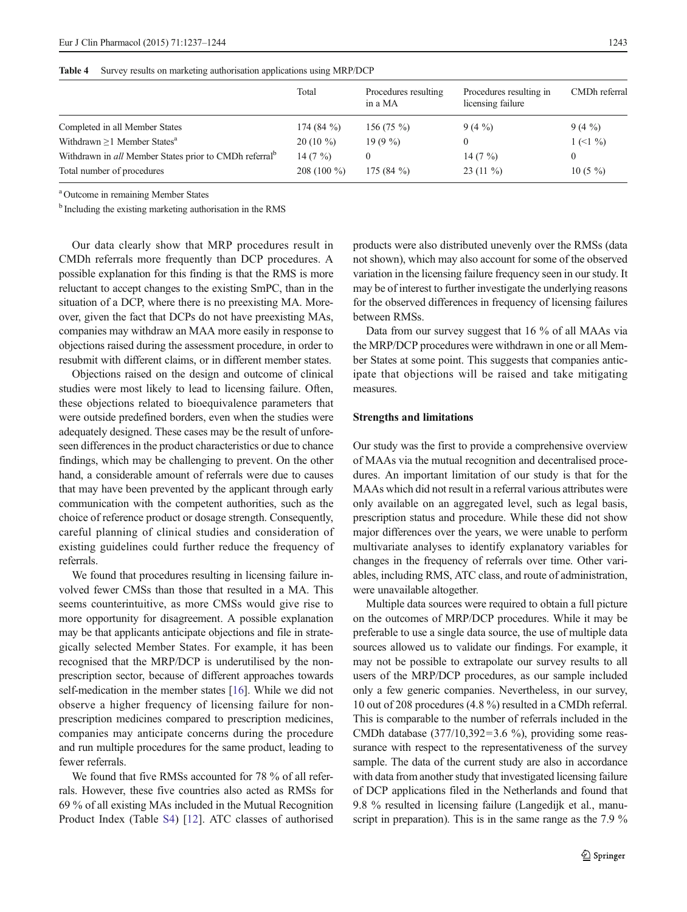<span id="page-6-0"></span>

| <b>Table 4</b> |  | Survey results on marketing authorisation applications using MRP/DCP |  |  |
|----------------|--|----------------------------------------------------------------------|--|--|
|----------------|--|----------------------------------------------------------------------|--|--|

|                                                                    | Total               | Procedures resulting<br>in a MA | Procedures resulting in<br>licensing failure | CMDh referral                  |
|--------------------------------------------------------------------|---------------------|---------------------------------|----------------------------------------------|--------------------------------|
| Completed in all Member States                                     | 174 $(84\%$         | $156(75\%)$                     | $9(4\%)$                                     | $9(4\%)$                       |
| Withdrawn $\geq 1$ Member States <sup>a</sup>                      | $20(10\%)$          | 19 $(9\%$                       |                                              | $1 \left( \leq 1 \ \% \right)$ |
| Withdrawn in all Member States prior to CMDh referral <sup>p</sup> | 14 $(7\frac{9}{0})$ |                                 | 14 $(7\frac{9}{0})$                          |                                |
| Total number of procedures                                         | $208(100\%)$        | 175 $(84\frac{9}{0})$           | $23(11\%)$                                   | $10(5\%)$                      |

a Outcome in remaining Member States

<sup>b</sup> Including the existing marketing authorisation in the RMS

Our data clearly show that MRP procedures result in CMDh referrals more frequently than DCP procedures. A possible explanation for this finding is that the RMS is more reluctant to accept changes to the existing SmPC, than in the situation of a DCP, where there is no preexisting MA. Moreover, given the fact that DCPs do not have preexisting MAs, companies may withdraw an MAA more easily in response to objections raised during the assessment procedure, in order to resubmit with different claims, or in different member states.

Objections raised on the design and outcome of clinical studies were most likely to lead to licensing failure. Often, these objections related to bioequivalence parameters that were outside predefined borders, even when the studies were adequately designed. These cases may be the result of unforeseen differences in the product characteristics or due to chance findings, which may be challenging to prevent. On the other hand, a considerable amount of referrals were due to causes that may have been prevented by the applicant through early communication with the competent authorities, such as the choice of reference product or dosage strength. Consequently, careful planning of clinical studies and consideration of existing guidelines could further reduce the frequency of referrals.

We found that procedures resulting in licensing failure involved fewer CMSs than those that resulted in a MA. This seems counterintuitive, as more CMSs would give rise to more opportunity for disagreement. A possible explanation may be that applicants anticipate objections and file in strategically selected Member States. For example, it has been recognised that the MRP/DCP is underutilised by the nonprescription sector, because of different approaches towards self-medication in the member states [[16](#page-7-0)]. While we did not observe a higher frequency of licensing failure for nonprescription medicines compared to prescription medicines, companies may anticipate concerns during the procedure and run multiple procedures for the same product, leading to fewer referrals.

We found that five RMSs accounted for 78 % of all referrals. However, these five countries also acted as RMSs for 69 % of all existing MAs included in the Mutual Recognition Product Index (Table S4) [\[12](#page-7-0)]. ATC classes of authorised

products were also distributed unevenly over the RMSs (data not shown), which may also account for some of the observed variation in the licensing failure frequency seen in our study. It may be of interest to further investigate the underlying reasons for the observed differences in frequency of licensing failures between RMSs.

Data from our survey suggest that 16 % of all MAAs via the MRP/DCP procedures were withdrawn in one or all Member States at some point. This suggests that companies anticipate that objections will be raised and take mitigating measures.

#### Strengths and limitations

Our study was the first to provide a comprehensive overview of MAAs via the mutual recognition and decentralised procedures. An important limitation of our study is that for the MAAs which did not result in a referral various attributes were only available on an aggregated level, such as legal basis, prescription status and procedure. While these did not show major differences over the years, we were unable to perform multivariate analyses to identify explanatory variables for changes in the frequency of referrals over time. Other variables, including RMS, ATC class, and route of administration, were unavailable altogether.

Multiple data sources were required to obtain a full picture on the outcomes of MRP/DCP procedures. While it may be preferable to use a single data source, the use of multiple data sources allowed us to validate our findings. For example, it may not be possible to extrapolate our survey results to all users of the MRP/DCP procedures, as our sample included only a few generic companies. Nevertheless, in our survey, 10 out of 208 procedures (4.8 %) resulted in a CMDh referral. This is comparable to the number of referrals included in the CMDh database  $(377/10,392=3.6 \%)$ , providing some reassurance with respect to the representativeness of the survey sample. The data of the current study are also in accordance with data from another study that investigated licensing failure of DCP applications filed in the Netherlands and found that 9.8 % resulted in licensing failure (Langedijk et al., manuscript in preparation). This is in the same range as the 7.9 %